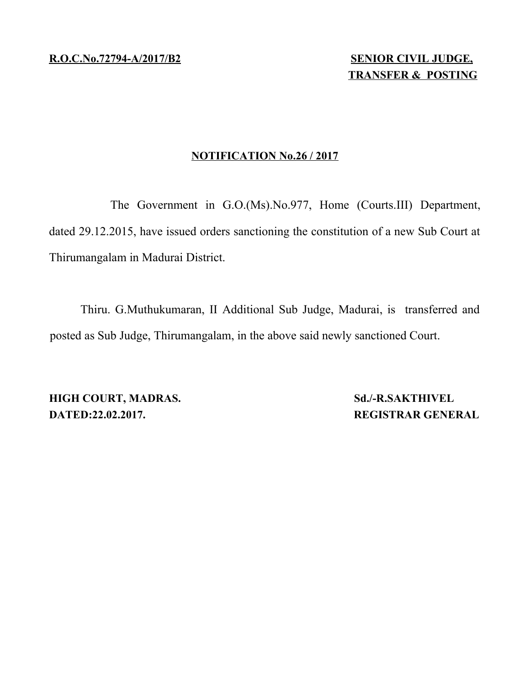**R .O.C.No.72794- A/2017/B2 SENIOR CIVIL JUDGE,**

# **NOTIFICATION No.26 / 2017**

The Government in G.O.(Ms).No.977, Home (Courts.III) Department, dated 29.12.2015, have issued orders sanctioning the constitution of a new Sub Court at Thirumangalam in Madurai District.

Thiru. G.Muthukumaran, II Additional Sub Judge, Madurai, is transferred and posted as Sub Judge, Thirumangalam, in the above said newly sanctioned Court.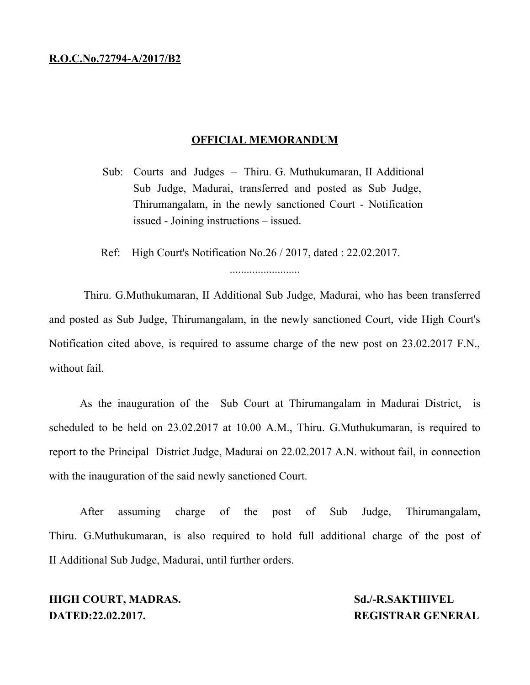## **OFFICIAL MEMORANDUM**

Sub: Courts and Judges – Thiru. G. Muthukumaran, II Additional Sub Judge, Madurai, transferred and posted as Sub Judge, Thirumangalam, in the newly sanctioned Court - Notification issued - Joining instructions – issued.

Ref: High Court's Notification No.26 / 2017, dated : 22.02.2017.

.........................

Thiru. G.Muthukumaran, II Additional Sub Judge, Madurai, who has been transferred and posted as Sub Judge, Thirumangalam, in the newly sanctioned Court, vide High Court's Notification cited above, is required to assume charge of the new post on 23.02.2017 F.N., without fail.

As the inauguration of the Sub Court at Thirumangalam in Madurai District, is scheduled to be held on 23.02.2017 at 10.00 A.M., Thiru. G.Muthukumaran, is required to report to the Principal District Judge, Madurai on 22.02.2017 A.N. without fail, in connection with the inauguration of the said newly sanctioned Court.

After assuming charge of the post of Sub Judge, Thirumangalam, Thiru. G.Muthukumaran, is also required to hold full additional charge of the post of II Additional Sub Judge, Madurai, until further orders.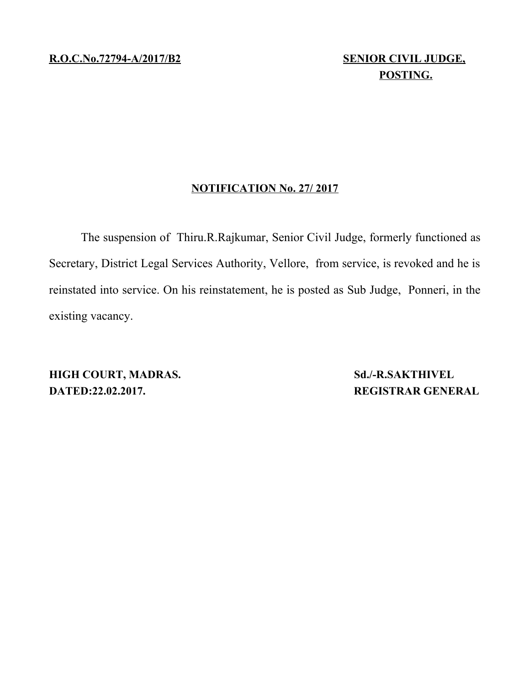# **POSTING.**

# **NOTIFICATION No. 27/ 2017**

The suspension of Thiru.R.Rajkumar, Senior Civil Judge, formerly functioned as Secretary, District Legal Services Authority, Vellore, from service, is revoked and he is reinstated into service. On his reinstatement, he is posted as Sub Judge, Ponneri, in the existing vacancy.